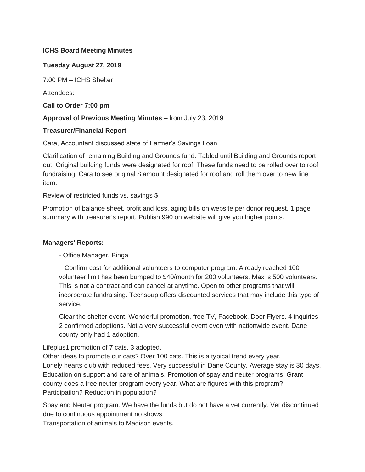## **ICHS Board Meeting Minutes**

## **Tuesday August 27, 2019**

7:00 PM – ICHS Shelter

Attendees:

**Call to Order 7:00 pm**

## **Approval of Previous Meeting Minutes –** from July 23, 2019

## **Treasurer/Financial Report**

Cara, Accountant discussed state of Farmer's Savings Loan.

Clarification of remaining Building and Grounds fund. Tabled until Building and Grounds report out. Original building funds were designated for roof. These funds need to be rolled over to roof fundraising. Cara to see original \$ amount designated for roof and roll them over to new line item.

### Review of restricted funds vs. savings \$

Promotion of balance sheet, profit and loss, aging bills on website per donor request. 1 page summary with treasurer's report. Publish 990 on website will give you higher points.

## **Managers' Reports:**

## - Office Manager, Binga

 Confirm cost for additional volunteers to computer program. Already reached 100 volunteer limit has been bumped to \$40/month for 200 volunteers. Max is 500 volunteers. This is not a contract and can cancel at anytime. Open to other programs that will incorporate fundraising. Techsoup offers discounted services that may include this type of service.

Clear the shelter event. Wonderful promotion, free TV, Facebook, Door Flyers. 4 inquiries 2 confirmed adoptions. Not a very successful event even with nationwide event. Dane county only had 1 adoption.

## Lifeplus1 promotion of 7 cats. 3 adopted.

Other ideas to promote our cats? Over 100 cats. This is a typical trend every year. Lonely hearts club with reduced fees. Very successful in Dane County. Average stay is 30 days. Education on support and care of animals. Promotion of spay and neuter programs. Grant county does a free neuter program every year. What are figures with this program? Participation? Reduction in population?

Spay and Neuter program. We have the funds but do not have a vet currently. Vet discontinued due to continuous appointment no shows.

Transportation of animals to Madison events.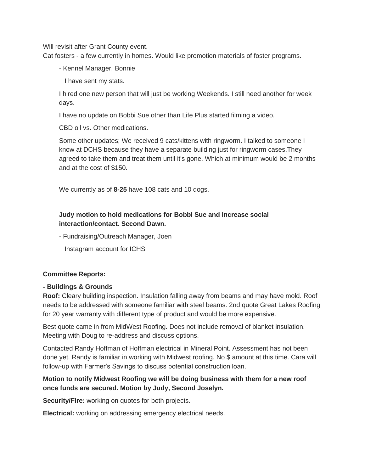Will revisit after Grant County event.

Cat fosters - a few currently in homes. Would like promotion materials of foster programs.

- Kennel Manager, Bonnie

I have sent my stats.

I hired one new person that will just be working Weekends. I still need another for week days.

I have no update on Bobbi Sue other than Life Plus started filming a video.

CBD oil vs. Other medications.

Some other updates; We received 9 cats/kittens with ringworm. I talked to someone I know at DCHS because they have a separate building just for ringworm cases.They agreed to take them and treat them until it's gone. Which at minimum would be 2 months and at the cost of \$150.

We currently as of **8-25** have 108 cats and 10 dogs.

# **Judy motion to hold medications for Bobbi Sue and increase social interaction/contact. Second Dawn.**

- Fundraising/Outreach Manager, Joen

Instagram account for ICHS

#### **Committee Reports:**

#### **- Buildings & Grounds**

**Roof:** Cleary building inspection. Insulation falling away from beams and may have mold. Roof needs to be addressed with someone familiar with steel beams. 2nd quote Great Lakes Roofing for 20 year warranty with different type of product and would be more expensive.

Best quote came in from MidWest Roofing. Does not include removal of blanket insulation. Meeting with Doug to re-address and discuss options.

Contacted Randy Hoffman of Hoffman electrical in Mineral Point. Assessment has not been done yet. Randy is familiar in working with Midwest roofing. No \$ amount at this time. Cara will follow-up with Farmer's Savings to discuss potential construction loan.

# **Motion to notify Midwest Roofing we will be doing business with them for a new roof once funds are secured. Motion by Judy, Second Joselyn.**

**Security/Fire:** working on quotes for both projects.

**Electrical:** working on addressing emergency electrical needs.